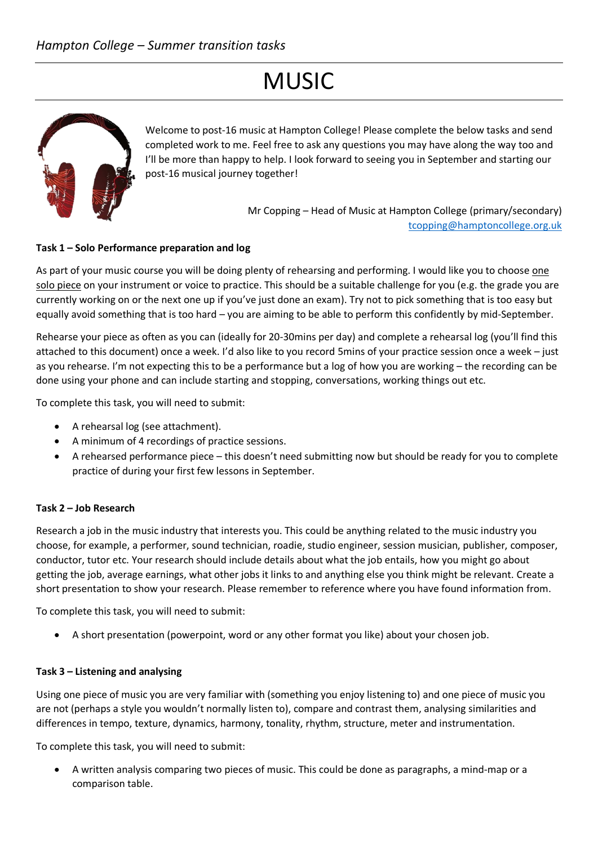# **MUSIC**



Welcome to post-16 music at Hampton College! Please complete the below tasks and send completed work to me. Feel free to ask any questions you may have along the way too and I'll be more than happy to help. I look forward to seeing you in September and starting our post-16 musical journey together!

> Mr Copping – Head of Music at Hampton College (primary/secondary) [tcopping@hamptoncollege.org.uk](mailto:tcopping@hamptoncollege.org.uk)

### **Task 1 – Solo Performance preparation and log**

As part of your music course you will be doing plenty of rehearsing and performing. I would like you to choose one solo piece on your instrument or voice to practice. This should be a suitable challenge for you (e.g. the grade you are currently working on or the next one up if you've just done an exam). Try not to pick something that is too easy but equally avoid something that is too hard – you are aiming to be able to perform this confidently by mid-September.

Rehearse your piece as often as you can (ideally for 20-30mins per day) and complete a rehearsal log (you'll find this attached to this document) once a week. I'd also like to you record 5mins of your practice session once a week – just as you rehearse. I'm not expecting this to be a performance but a log of how you are working – the recording can be done using your phone and can include starting and stopping, conversations, working things out etc.

To complete this task, you will need to submit:

- A rehearsal log (see attachment).
- A minimum of 4 recordings of practice sessions.
- A rehearsed performance piece this doesn't need submitting now but should be ready for you to complete practice of during your first few lessons in September.

#### **Task 2 – Job Research**

Research a job in the music industry that interests you. This could be anything related to the music industry you choose, for example, a performer, sound technician, roadie, studio engineer, session musician, publisher, composer, conductor, tutor etc. Your research should include details about what the job entails, how you might go about getting the job, average earnings, what other jobs it links to and anything else you think might be relevant. Create a short presentation to show your research. Please remember to reference where you have found information from.

To complete this task, you will need to submit:

• A short presentation (powerpoint, word or any other format you like) about your chosen job.

#### **Task 3 – Listening and analysing**

Using one piece of music you are very familiar with (something you enjoy listening to) and one piece of music you are not (perhaps a style you wouldn't normally listen to), compare and contrast them, analysing similarities and differences in tempo, texture, dynamics, harmony, tonality, rhythm, structure, meter and instrumentation.

To complete this task, you will need to submit:

• A written analysis comparing two pieces of music. This could be done as paragraphs, a mind-map or a comparison table.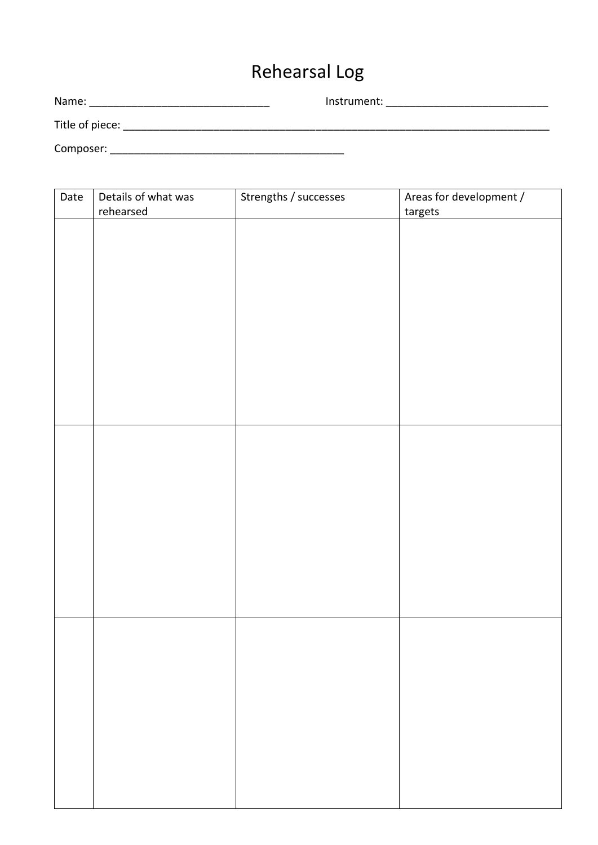## Rehearsal Log

| Name:           | Instrument: |
|-----------------|-------------|
| Title of piece: |             |
| Composer:       |             |

| Date | Details of what was | Strengths / successes | Areas for development / |
|------|---------------------|-----------------------|-------------------------|
|      | rehearsed           |                       | targets                 |
|      |                     |                       |                         |
|      |                     |                       |                         |
|      |                     |                       |                         |
|      |                     |                       |                         |
|      |                     |                       |                         |
|      |                     |                       |                         |
|      |                     |                       |                         |
|      |                     |                       |                         |
|      |                     |                       |                         |
|      |                     |                       |                         |
|      |                     |                       |                         |
|      |                     |                       |                         |
|      |                     |                       |                         |
|      |                     |                       |                         |
|      |                     |                       |                         |
|      |                     |                       |                         |
|      |                     |                       |                         |
|      |                     |                       |                         |
|      |                     |                       |                         |
|      |                     |                       |                         |
|      |                     |                       |                         |
|      |                     |                       |                         |
|      |                     |                       |                         |
|      |                     |                       |                         |
|      |                     |                       |                         |
|      |                     |                       |                         |
|      |                     |                       |                         |
|      |                     |                       |                         |
|      |                     |                       |                         |
|      |                     |                       |                         |
|      |                     |                       |                         |
|      |                     |                       |                         |
|      |                     |                       |                         |
|      |                     |                       |                         |
|      |                     |                       |                         |
|      |                     |                       |                         |
|      |                     |                       |                         |